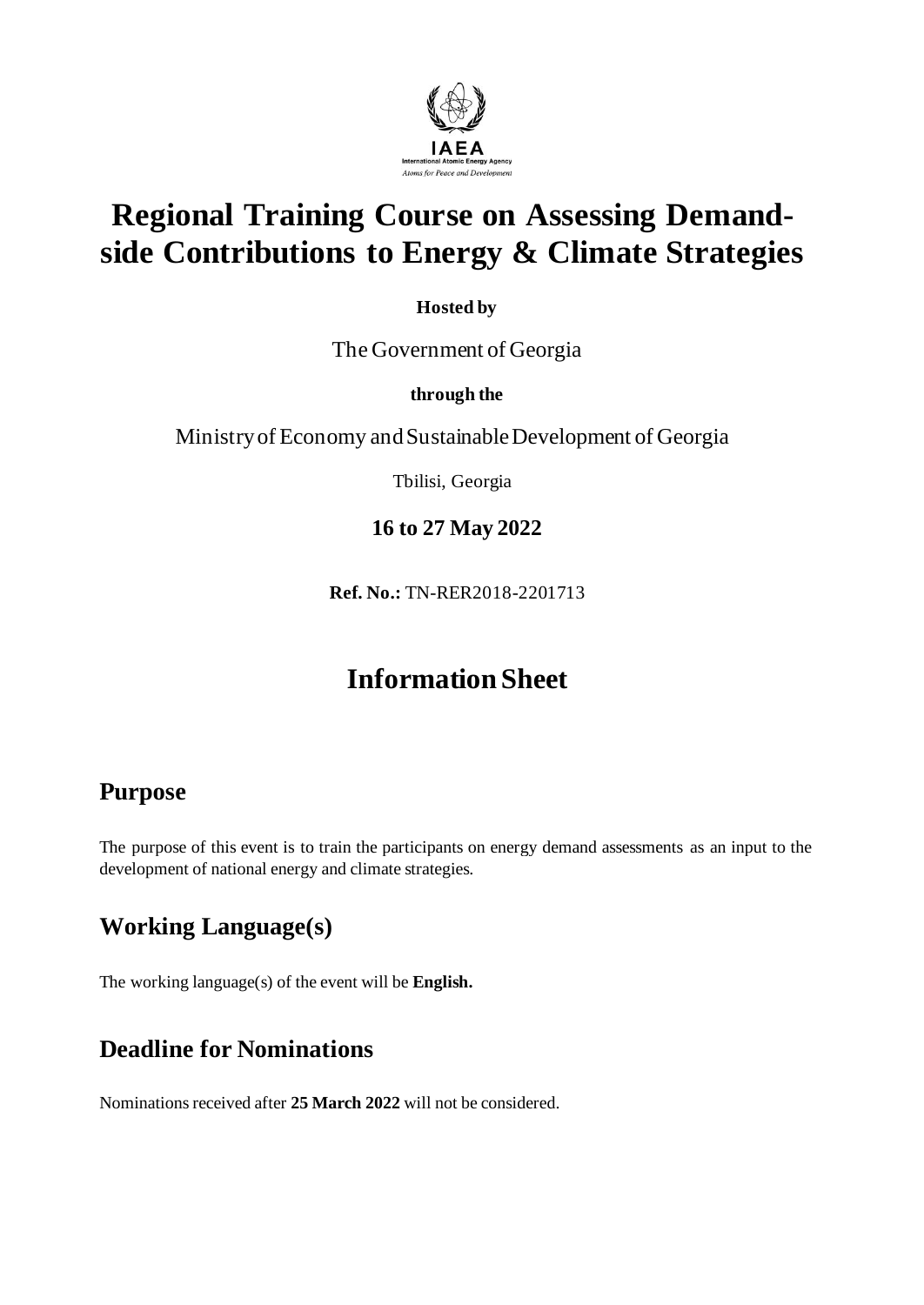

# **Regional Training Course on Assessing Demandside Contributions to Energy & Climate Strategies**

**Hosted by**

The Government of Georgia

#### **through the**

Ministry of Economy and Sustainable Development of Georgia

Tbilisi, Georgia

**16 to 27 May 2022** 

**Ref. No.:** TN-RER2018-2201713

## **Information Sheet**

### **Purpose**

The purpose of this event is to train the participants on energy demand assessments as an input to the development of national energy and climate strategies.

### **Working Language(s)**

The working language(s) of the event will be **English.**

#### **Deadline for Nominations**

Nominations received after **25 March 2022** will not be considered.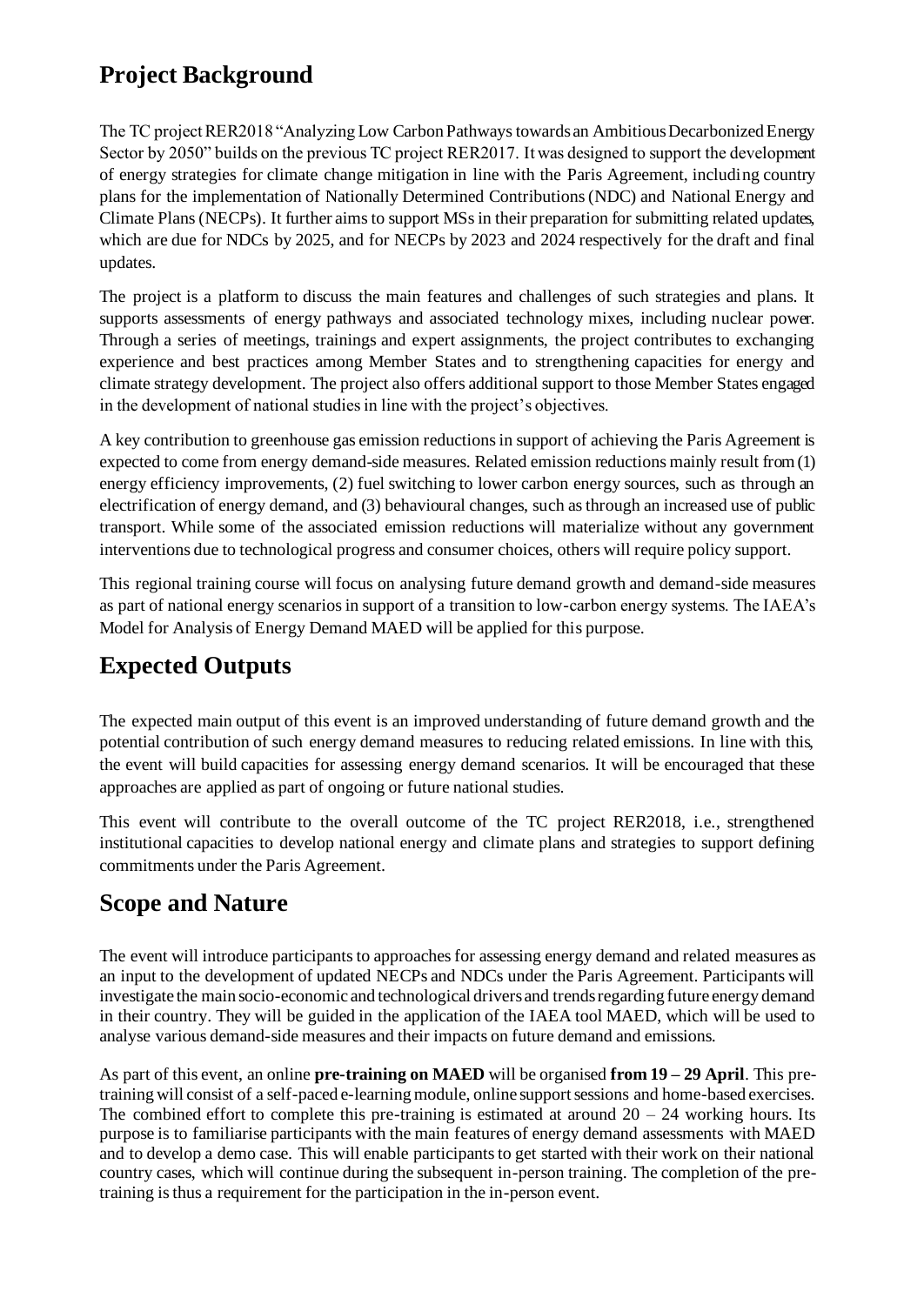#### **Project Background**

The TC project RER2018 "Analyzing Low Carbon Pathways towards an Ambitious Decarbonized Energy Sector by 2050" builds on the previous TC project RER2017. It was designed to support the development of energy strategies for climate change mitigation in line with the Paris Agreement, including country plans for the implementation of Nationally Determined Contributions (NDC) and National Energy and Climate Plans (NECPs). It further aims to support MSs in their preparation for submitting related updates, which are due for NDCs by 2025, and for NECPs by 2023 and 2024 respectively for the draft and final updates.

The project is a platform to discuss the main features and challenges of such strategies and plans. It supports assessments of energy pathways and associated technology mixes, including nuclear power. Through a series of meetings, trainings and expert assignments, the project contributes to exchanging experience and best practices among Member States and to strengthening capacities for energy and climate strategy development. The project also offers additional support to those Member States engaged in the development of national studies in line with the project's objectives.

A key contribution to greenhouse gas emission reductions in support of achieving the Paris Agreement is expected to come from energy demand-side measures. Related emission reductions mainly result from (1) energy efficiency improvements, (2) fuel switching to lower carbon energy sources, such as through an electrification of energy demand, and (3) behavioural changes, such as through an increased use of public transport. While some of the associated emission reductions will materialize without any government interventions due to technological progress and consumer choices, others will require policy support.

This regional training course will focus on analysing future demand growth and demand-side measures as part of national energy scenarios in support of a transition to low-carbon energy systems. The IAEA's Model for Analysis of Energy Demand MAED will be applied for this purpose.

### **Expected Outputs**

The expected main output of this event is an improved understanding of future demand growth and the potential contribution of such energy demand measures to reducing related emissions. In line with this, the event will build capacities for assessing energy demand scenarios. It will be encouraged that these approaches are applied as part of ongoing or future national studies.

This event will contribute to the overall outcome of the TC project RER2018, i.e., strengthened institutional capacities to develop national energy and climate plans and strategies to support defining commitments under the Paris Agreement.

#### **Scope and Nature**

The event will introduce participants to approaches for assessing energy demand and related measures as an input to the development of updated NECPs and NDCs under the Paris Agreement. Participants will investigate the main socio-economic and technological drivers and trends regarding future energy demand in their country. They will be guided in the application of the IAEA tool MAED, which will be used to analyse various demand-side measures and their impacts on future demand and emissions.

As part of this event, an online **pre-training on MAED** will be organised **from 19 – 29 April**. This pretraining will consist of a self-paced e-learning module, online support sessions and home-based exercises. The combined effort to complete this pre-training is estimated at around  $20 - 24$  working hours. Its purpose is to familiarise participants with the main features of energy demand assessments with MAED and to develop a demo case. This will enable participants to get started with their work on their national country cases, which will continue during the subsequent in-person training. The completion of the pretraining is thus a requirement for the participation in the in-person event.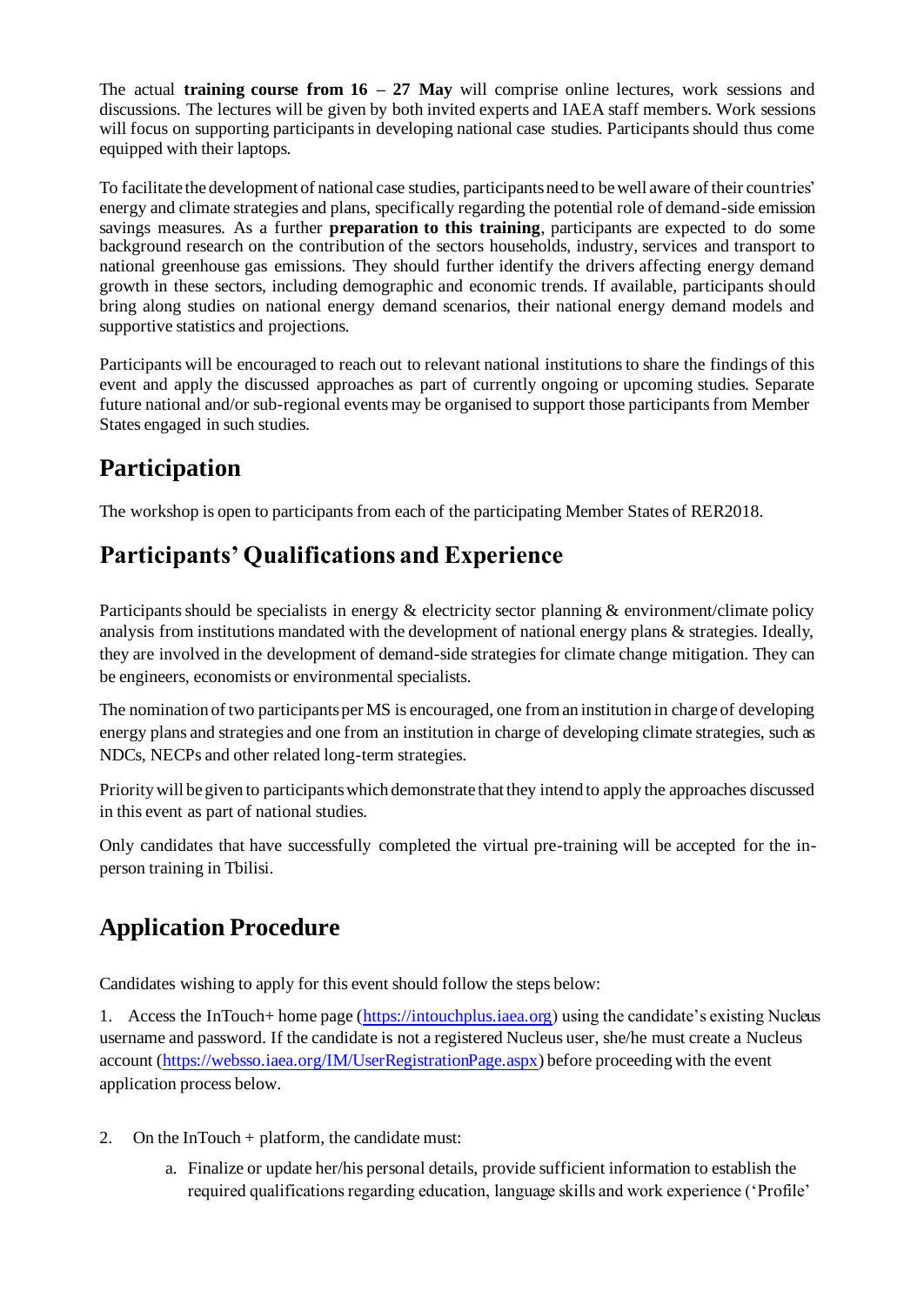The actual **training course from 16 – 27 May** will comprise online lectures, work sessions and discussions. The lectures will be given by both invited experts and IAEA staff members. Work sessions will focus on supporting participants in developing national case studies. Participants should thus come equipped with their laptops.

To facilitate the development of national case studies, participants need to be well aware of their countries' energy and climate strategies and plans, specifically regarding the potential role of demand-side emission savings measures. As a further **preparation to this training**, participants are expected to do some background research on the contribution of the sectors households, industry, services and transport to national greenhouse gas emissions. They should further identify the drivers affecting energy demand growth in these sectors, including demographic and economic trends. If available, participants should bring along studies on national energy demand scenarios, their national energy demand models and supportive statistics and projections.

Participants will be encouraged to reach out to relevant national institutions to share the findings of this event and apply the discussed approaches as part of currently ongoing or upcoming studies. Separate future national and/or sub-regional events may be organised to support those participants from Member States engaged in such studies.

#### **Participation**

The workshop is open to participants from each of the participating Member States of RER2018.

#### **Participants' Qualifications and Experience**

Participants should be specialists in energy & electricity sector planning & environment/climate policy analysis from institutions mandated with the development of national energy plans & strategies. Ideally, they are involved in the development of demand-side strategies for climate change mitigation. They can be engineers, economists or environmental specialists.

The nomination of two participants per MS is encouraged, one from an institution in charge of developing energy plans and strategies and one from an institution in charge of developing climate strategies, such as NDCs, NECPs and other related long-term strategies.

Priority will be given to participants which demonstrate that they intend to apply the approaches discussed in this event as part of national studies.

Only candidates that have successfully completed the virtual pre-training will be accepted for the inperson training in Tbilisi.

### **Application Procedure**

Candidates wishing to apply for this event should follow the steps below:

1. Access the InTouch+ home page [\(https://intouchplus.iaea.org](https://intouchplus.iaea.org/)) using the candidate's existing Nucleus username and password. If the candidate is not a registered Nucleus user, she/he must create a Nucleus account [\(https://websso.iaea.org/IM/UserRegistrationPage.aspx](https://websso.iaea.org/IM/UserRegistrationPage.aspx)) before proceeding with the event application process below.

- 2. On the InTouch + platform, the candidate must:
	- a. Finalize or update her/his personal details, provide sufficient information to establish the required qualifications regarding education, language skills and work experience ('Profile'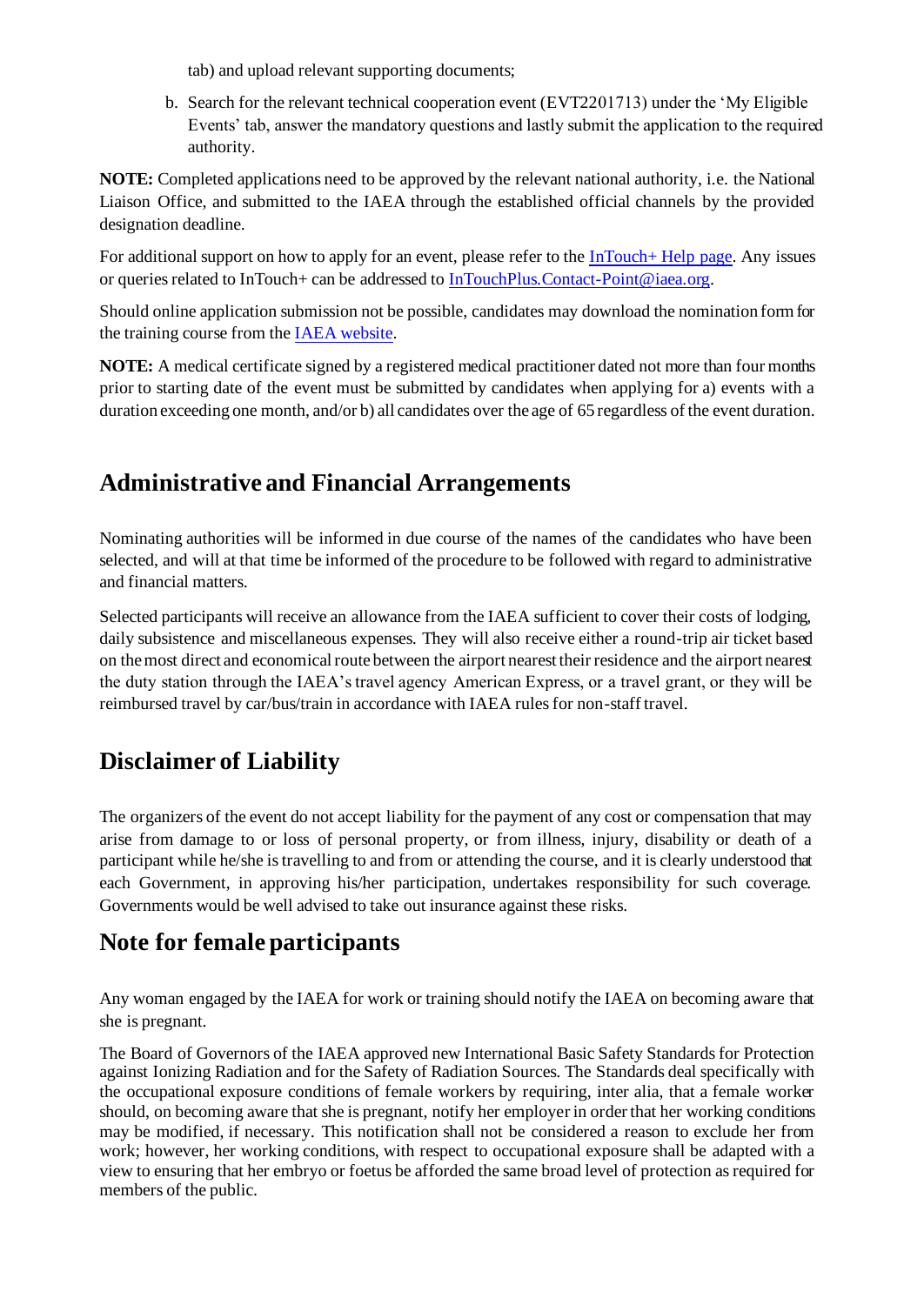tab) and upload relevant supporting documents;

b. Search for the relevant technical cooperation event (EVT2201713) under the 'My Eligible Events' tab, answer the mandatory questions and lastly submit the application to the required authority.

**NOTE:** Completed applications need to be approved by the relevant national authority, i.e. the National Liaison Office, and submitted to the IAEA through the established official channels by the provided designation deadline.

For additional support on how to apply for an event, please refer to the [InTouch+ Help page.](https://nucleus.iaea.org/sites/intouchplushelp) Any issues or queries related to InTouch+ can be addressed to [InTouchPlus.Contact-Point@iaea.org](mailto:InTouchPlus.Contact-Point@iaea.org).

Should online application submission not be possible, candidates may download the nomination form for the training course from th[e IAEA website.](https://www.iaea.org/services/technical-cooperation-programme/how-to-participate)

**NOTE:** A medical certificate signed by a registered medical practitioner dated not more than four months prior to starting date of the event must be submitted by candidates when applying for a) events with a duration exceeding one month, and/or b) all candidates over the age of 65 regardless of the event duration.

#### **Administrative and Financial Arrangements**

Nominating authorities will be informed in due course of the names of the candidates who have been selected, and will at that time be informed of the procedure to be followed with regard to administrative and financial matters.

Selected participants will receive an allowance from the IAEA sufficient to cover their costs of lodging, daily subsistence and miscellaneous expenses. They will also receive either a round-trip air ticket based on the most direct and economical route between the airport nearest their residence and the airport nearest the duty station through the IAEA's travel agency American Express, or a travel grant, or they will be reimbursed travel by car/bus/train in accordance with IAEA rules for non-staff travel.

## **Disclaimer of Liability**

The organizers of the event do not accept liability for the payment of any cost or compensation that may arise from damage to or loss of personal property, or from illness, injury, disability or death of a participant while he/she is travelling to and from or attending the course, and it is clearly understood that each Government, in approving his/her participation, undertakes responsibility for such coverage. Governments would be well advised to take out insurance against these risks.

#### **Note for female participants**

Any woman engaged by the IAEA for work or training should notify the IAEA on becoming aware that she is pregnant.

The Board of Governors of the IAEA approved new International Basic Safety Standards for Protection against Ionizing Radiation and for the Safety of Radiation Sources. The Standards deal specifically with the occupational exposure conditions of female workers by requiring, inter alia, that a female worker should, on becoming aware that she is pregnant, notify her employer in order that her working conditions may be modified, if necessary. This notification shall not be considered a reason to exclude her from work; however, her working conditions, with respect to occupational exposure shall be adapted with a view to ensuring that her embryo or foetus be afforded the same broad level of protection as required for members of the public.